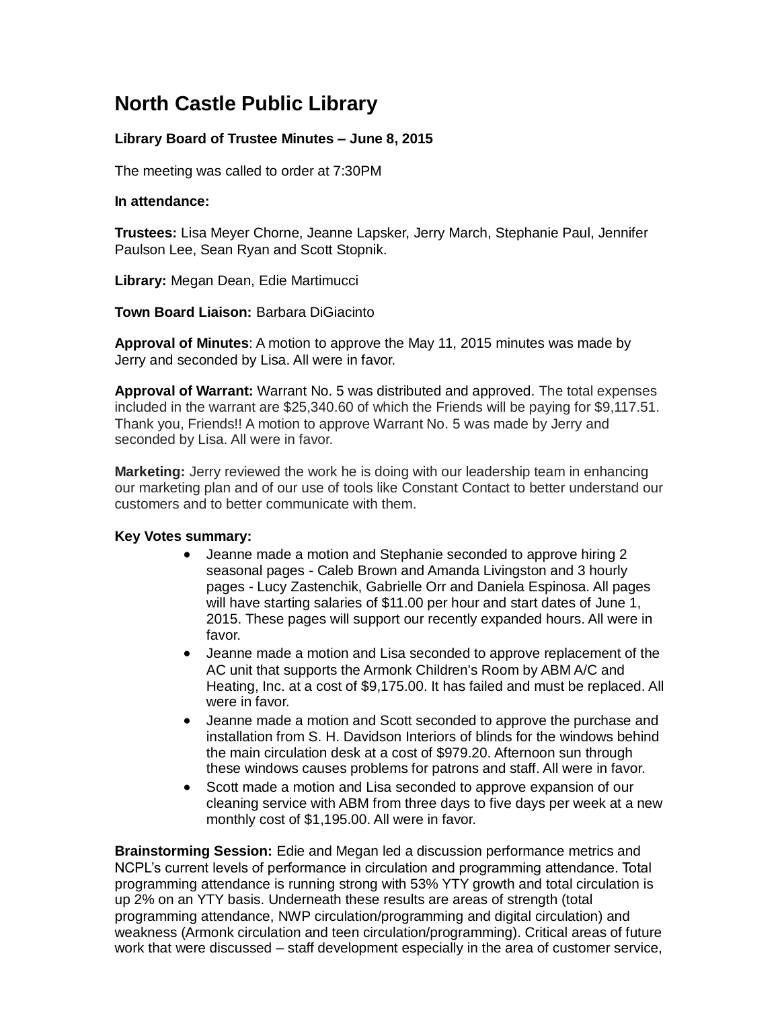## **North Castle Public Library**

## **Library Board of Trustee Minutes – June 8, 2015**

The meeting was called to order at 7:30PM

## **In attendance:**

**Trustees:** Lisa Meyer Chorne, Jeanne Lapsker, Jerry March, Stephanie Paul, Jennifer Paulson Lee, Sean Ryan and Scott Stopnik.

**Library:** Megan Dean, Edie Martimucci

**Town Board Liaison:** Barbara DiGiacinto

**Approval of Minutes**: A motion to approve the May 11, 2015 minutes was made by Jerry and seconded by Lisa. All were in favor.

**Approval of Warrant:** Warrant No. 5 was distributed and approved. The total expenses included in the warrant are \$25,340.60 of which the Friends will be paying for \$9,117.51. Thank you, Friends!! A motion to approve Warrant No. 5 was made by Jerry and seconded by Lisa. All were in favor.

**Marketing:** Jerry reviewed the work he is doing with our leadership team in enhancing our marketing plan and of our use of tools like Constant Contact to better understand our customers and to better communicate with them.

## **Key Votes summary:**

- Jeanne made a motion and Stephanie seconded to approve hiring 2 seasonal pages - Caleb Brown and Amanda Livingston and 3 hourly pages - Lucy Zastenchik, Gabrielle Orr and Daniela Espinosa. All pages will have starting salaries of \$11.00 per hour and start dates of June 1, 2015. These pages will support our recently expanded hours. All were in favor.
- Jeanne made a motion and Lisa seconded to approve replacement of the AC unit that supports the Armonk Children's Room by ABM A/C and Heating, Inc. at a cost of \$9,175.00. It has failed and must be replaced. All were in favor.
- Jeanne made a motion and Scott seconded to approve the purchase and installation from S. H. Davidson Interiors of blinds for the windows behind the main circulation desk at a cost of \$979.20. Afternoon sun through these windows causes problems for patrons and staff. All were in favor.
- Scott made a motion and Lisa seconded to approve expansion of our cleaning service with ABM from three days to five days per week at a new monthly cost of \$1,195.00. All were in favor.

**Brainstorming Session:** Edie and Megan led a discussion performance metrics and NCPL's current levels of performance in circulation and programming attendance. Total programming attendance is running strong with 53% YTY growth and total circulation is up 2% on an YTY basis. Underneath these results are areas of strength (total programming attendance, NWP circulation/programming and digital circulation) and weakness (Armonk circulation and teen circulation/programming). Critical areas of future work that were discussed – staff development especially in the area of customer service,